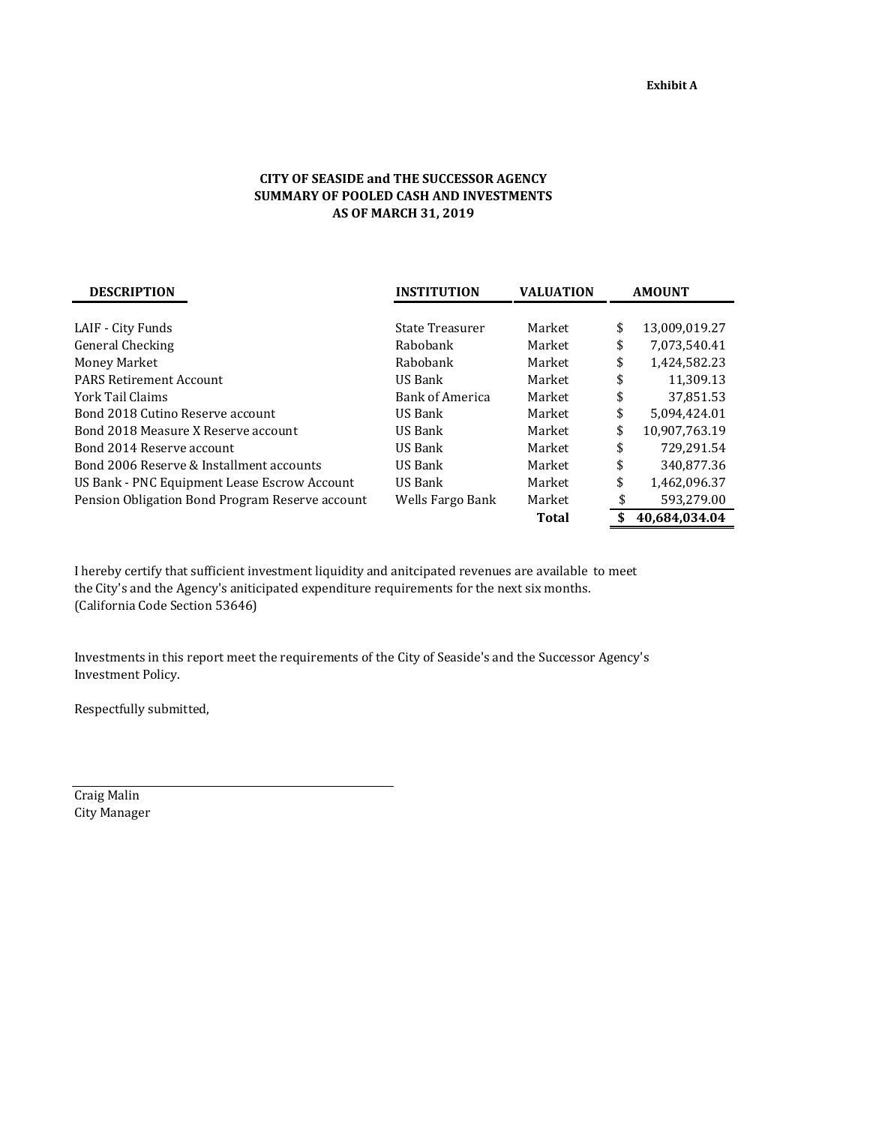## **CITY OF SEASIDE and THE SUCCESSOR AGENCY SUMMARY OF POOLED CASH AND INVESTMENTS AS OF MARCH 31, 2019**

| <b>DESCRIPTION</b>                              | <b>INSTITUTION</b>     | <b>VALUATION</b> | <b>AMOUNT</b> |               |  |
|-------------------------------------------------|------------------------|------------------|---------------|---------------|--|
|                                                 |                        |                  |               |               |  |
| LAIF - City Funds                               | State Treasurer        | Market           | \$            | 13,009,019.27 |  |
| General Checking                                | Rabobank               | Market           | \$            | 7,073,540.41  |  |
| Money Market                                    | Rabobank               | Market           | \$            | 1.424.582.23  |  |
| <b>PARS Retirement Account</b>                  | US Bank                | Market           | \$            | 11,309.13     |  |
| York Tail Claims                                | <b>Bank of America</b> | Market           | \$            | 37,851.53     |  |
| Bond 2018 Cutino Reserve account                | US Bank                | Market           | \$            | 5.094.424.01  |  |
| Bond 2018 Measure X Reserve account             | US Bank                | Market           | \$            | 10,907,763.19 |  |
| Bond 2014 Reserve account                       | US Bank                | Market           | \$            | 729.291.54    |  |
| Bond 2006 Reserve & Installment accounts        | US Bank                | Market           | \$            | 340.877.36    |  |
| US Bank - PNC Equipment Lease Escrow Account    | US Bank                | Market           | \$            | 1,462,096.37  |  |
| Pension Obligation Bond Program Reserve account | Wells Fargo Bank       | Market           | \$            | 593,279.00    |  |
|                                                 |                        | <b>Total</b>     | \$            | 40.684.034.04 |  |

I hereby certify that sufficient investment liquidity and anitcipated revenues are available to meet the City's and the Agency's aniticipated expenditure requirements for the next six months. (California Code Section 53646)

Investments in this report meet the requirements of the City of Seaside's and the Successor Agency's Investment Policy.

Respectfully submitted,

Craig Malin City Manager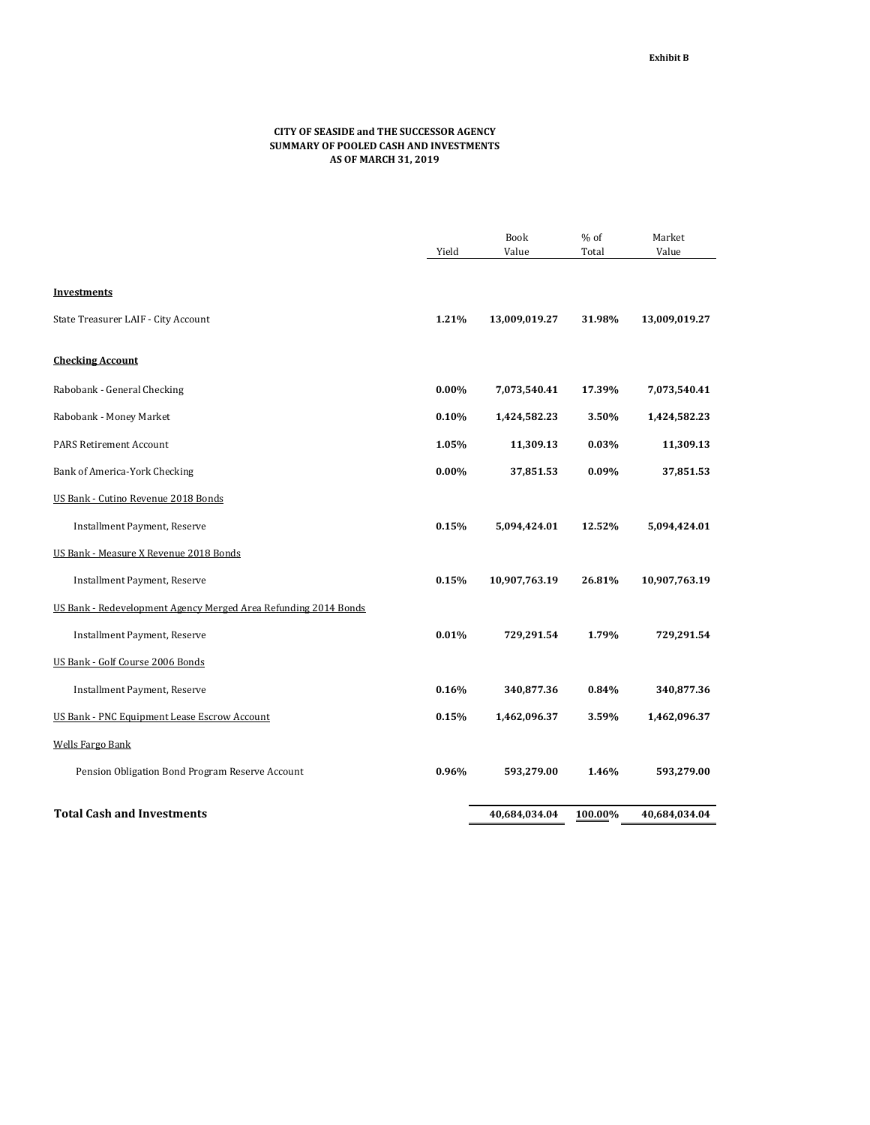## **CITY OF SEASIDE and THE SUCCESSOR AGENCY SUMMARY OF POOLED CASH AND INVESTMENTS AS OF MARCH 31, 2019**

|                                                                 |          | <b>Book</b>   | % of    | Market        |
|-----------------------------------------------------------------|----------|---------------|---------|---------------|
|                                                                 | Yield    | Value         | Total   | Value         |
|                                                                 |          |               |         |               |
| Investments                                                     |          |               |         |               |
| State Treasurer LAIF - City Account                             | 1.21%    | 13,009,019.27 | 31.98%  | 13,009,019.27 |
| <b>Checking Account</b>                                         |          |               |         |               |
| Rabobank - General Checking                                     | $0.00\%$ | 7,073,540.41  | 17.39%  | 7,073,540.41  |
| Rabobank - Money Market                                         | 0.10%    | 1,424,582.23  | 3.50%   | 1,424,582.23  |
| <b>PARS Retirement Account</b>                                  | 1.05%    | 11,309.13     | 0.03%   | 11,309.13     |
| Bank of America-York Checking                                   | $0.00\%$ | 37,851.53     | 0.09%   | 37,851.53     |
| US Bank - Cutino Revenue 2018 Bonds                             |          |               |         |               |
| Installment Payment, Reserve                                    | 0.15%    | 5,094,424.01  | 12.52%  | 5,094,424.01  |
| US Bank - Measure X Revenue 2018 Bonds                          |          |               |         |               |
| Installment Payment, Reserve                                    | 0.15%    | 10,907,763.19 | 26.81%  | 10,907,763.19 |
| US Bank - Redevelopment Agency Merged Area Refunding 2014 Bonds |          |               |         |               |
| Installment Payment, Reserve                                    | 0.01%    | 729,291.54    | 1.79%   | 729,291.54    |
| US Bank - Golf Course 2006 Bonds                                |          |               |         |               |
| Installment Payment, Reserve                                    | 0.16%    | 340,877.36    | 0.84%   | 340,877.36    |
| US Bank - PNC Equipment Lease Escrow Account                    | 0.15%    | 1,462,096.37  | 3.59%   | 1,462,096.37  |
| <b>Wells Fargo Bank</b>                                         |          |               |         |               |
| Pension Obligation Bond Program Reserve Account                 | 0.96%    | 593,279.00    | 1.46%   | 593,279.00    |
| <b>Total Cash and Investments</b>                               |          | 40,684,034.04 | 100.00% | 40,684,034.04 |
|                                                                 |          |               |         |               |